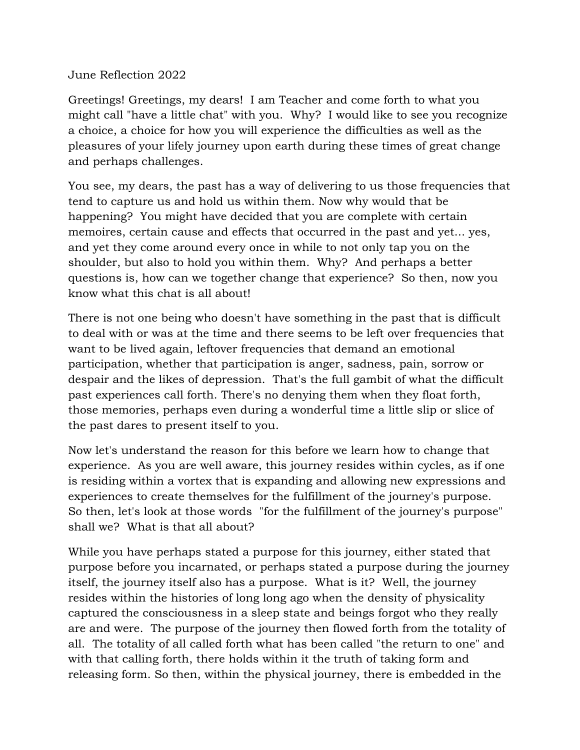## June Reflection 2022

Greetings! Greetings, my dears! I am Teacher and come forth to what you might call "have a little chat" with you. Why? I would like to see you recognize a choice, a choice for how you will experience the difficulties as well as the pleasures of your lifely journey upon earth during these times of great change and perhaps challenges.

You see, my dears, the past has a way of delivering to us those frequencies that tend to capture us and hold us within them. Now why would that be happening? You might have decided that you are complete with certain memoires, certain cause and effects that occurred in the past and yet... yes, and yet they come around every once in while to not only tap you on the shoulder, but also to hold you within them. Why? And perhaps a better questions is, how can we together change that experience? So then, now you know what this chat is all about!

There is not one being who doesn't have something in the past that is difficult to deal with or was at the time and there seems to be left over frequencies that want to be lived again, leftover frequencies that demand an emotional participation, whether that participation is anger, sadness, pain, sorrow or despair and the likes of depression. That's the full gambit of what the difficult past experiences call forth. There's no denying them when they float forth, those memories, perhaps even during a wonderful time a little slip or slice of the past dares to present itself to you.

Now let's understand the reason for this before we learn how to change that experience. As you are well aware, this journey resides within cycles, as if one is residing within a vortex that is expanding and allowing new expressions and experiences to create themselves for the fulfillment of the journey's purpose. So then, let's look at those words "for the fulfillment of the journey's purpose" shall we? What is that all about?

While you have perhaps stated a purpose for this journey, either stated that purpose before you incarnated, or perhaps stated a purpose during the journey itself, the journey itself also has a purpose. What is it? Well, the journey resides within the histories of long long ago when the density of physicality captured the consciousness in a sleep state and beings forgot who they really are and were. The purpose of the journey then flowed forth from the totality of all. The totality of all called forth what has been called "the return to one" and with that calling forth, there holds within it the truth of taking form and releasing form. So then, within the physical journey, there is embedded in the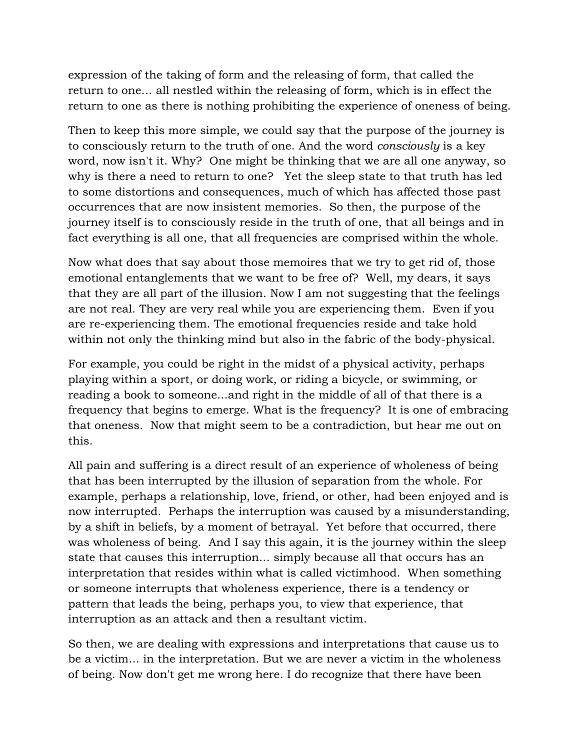expression of the taking of form and the releasing of form, that called the return to one... all nestled within the releasing of form, which is in effect the return to one as there is nothing prohibiting the experience of oneness of being.

Then to keep this more simple, we could say that the purpose of the journey is to consciously return to the truth of one. And the word *consciously* is a key word, now isn't it. Why? One might be thinking that we are all one anyway, so why is there a need to return to one? Yet the sleep state to that truth has led to some distortions and consequences, much of which has affected those past occurrences that are now insistent memories. So then, the purpose of the journey itself is to consciously reside in the truth of one, that all beings and in fact everything is all one, that all frequencies are comprised within the whole.

Now what does that say about those memoires that we try to get rid of, those emotional entanglements that we want to be free of? Well, my dears, it says that they are all part of the illusion. Now I am not suggesting that the feelings are not real. They are very real while you are experiencing them. Even if you are re-experiencing them. The emotional frequencies reside and take hold within not only the thinking mind but also in the fabric of the body-physical.

For example, you could be right in the midst of a physical activity, perhaps playing within a sport, or doing work, or riding a bicycle, or swimming, or reading a book to someone...and right in the middle of all of that there is a frequency that begins to emerge. What is the frequency? It is one of embracing that oneness. Now that might seem to be a contradiction, but hear me out on this.

All pain and suffering is a direct result of an experience of wholeness of being that has been interrupted by the illusion of separation from the whole. For example, perhaps a relationship, love, friend, or other, had been enjoyed and is now interrupted. Perhaps the interruption was caused by a misunderstanding, by a shift in beliefs, by a moment of betrayal. Yet before that occurred, there was wholeness of being. And I say this again, it is the journey within the sleep state that causes this interruption... simply because all that occurs has an interpretation that resides within what is called victimhood. When something or someone interrupts that wholeness experience, there is a tendency or pattern that leads the being, perhaps you, to view that experience, that interruption as an attack and then a resultant victim.

So then, we are dealing with expressions and interpretations that cause us to be a victim... in the interpretation. But we are never a victim in the wholeness of being. Now don't get me wrong here. I do recognize that there have been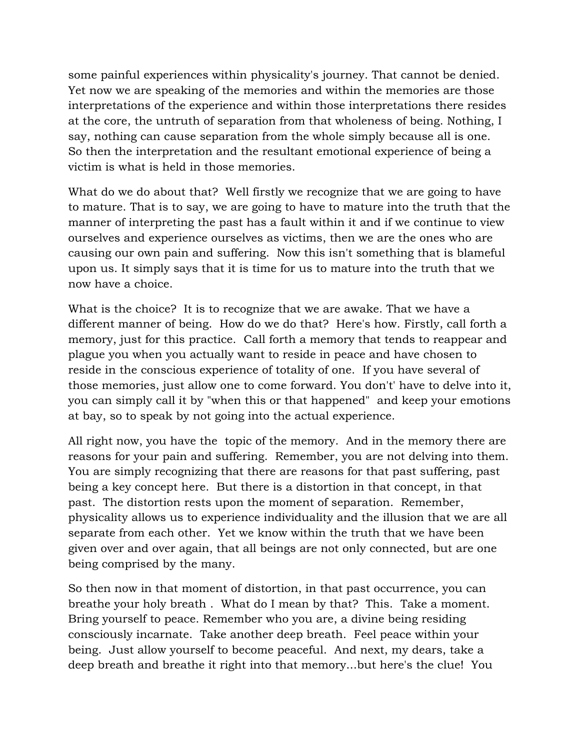some painful experiences within physicality's journey. That cannot be denied. Yet now we are speaking of the memories and within the memories are those interpretations of the experience and within those interpretations there resides at the core, the untruth of separation from that wholeness of being. Nothing, I say, nothing can cause separation from the whole simply because all is one. So then the interpretation and the resultant emotional experience of being a victim is what is held in those memories.

What do we do about that? Well firstly we recognize that we are going to have to mature. That is to say, we are going to have to mature into the truth that the manner of interpreting the past has a fault within it and if we continue to view ourselves and experience ourselves as victims, then we are the ones who are causing our own pain and suffering. Now this isn't something that is blameful upon us. It simply says that it is time for us to mature into the truth that we now have a choice.

What is the choice? It is to recognize that we are awake. That we have a different manner of being. How do we do that? Here's how. Firstly, call forth a memory, just for this practice. Call forth a memory that tends to reappear and plague you when you actually want to reside in peace and have chosen to reside in the conscious experience of totality of one. If you have several of those memories, just allow one to come forward. You don't' have to delve into it, you can simply call it by "when this or that happened" and keep your emotions at bay, so to speak by not going into the actual experience.

All right now, you have the topic of the memory. And in the memory there are reasons for your pain and suffering. Remember, you are not delving into them. You are simply recognizing that there are reasons for that past suffering, past being a key concept here. But there is a distortion in that concept, in that past. The distortion rests upon the moment of separation. Remember, physicality allows us to experience individuality and the illusion that we are all separate from each other. Yet we know within the truth that we have been given over and over again, that all beings are not only connected, but are one being comprised by the many.

So then now in that moment of distortion, in that past occurrence, you can breathe your holy breath . What do I mean by that? This. Take a moment. Bring yourself to peace. Remember who you are, a divine being residing consciously incarnate. Take another deep breath. Feel peace within your being. Just allow yourself to become peaceful. And next, my dears, take a deep breath and breathe it right into that memory...but here's the clue! You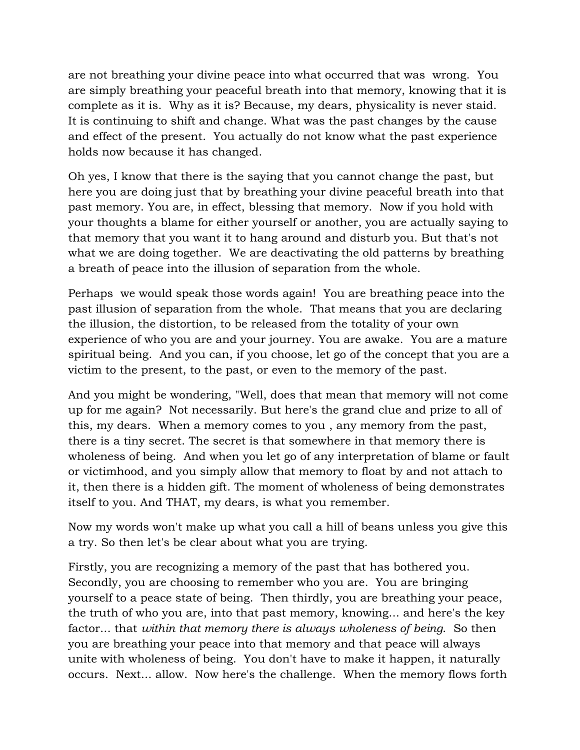are not breathing your divine peace into what occurred that was wrong. You are simply breathing your peaceful breath into that memory, knowing that it is complete as it is. Why as it is? Because, my dears, physicality is never staid. It is continuing to shift and change. What was the past changes by the cause and effect of the present. You actually do not know what the past experience holds now because it has changed.

Oh yes, I know that there is the saying that you cannot change the past, but here you are doing just that by breathing your divine peaceful breath into that past memory. You are, in effect, blessing that memory. Now if you hold with your thoughts a blame for either yourself or another, you are actually saying to that memory that you want it to hang around and disturb you. But that's not what we are doing together. We are deactivating the old patterns by breathing a breath of peace into the illusion of separation from the whole.

Perhaps we would speak those words again! You are breathing peace into the past illusion of separation from the whole. That means that you are declaring the illusion, the distortion, to be released from the totality of your own experience of who you are and your journey. You are awake. You are a mature spiritual being. And you can, if you choose, let go of the concept that you are a victim to the present, to the past, or even to the memory of the past.

And you might be wondering, "Well, does that mean that memory will not come up for me again? Not necessarily. But here's the grand clue and prize to all of this, my dears. When a memory comes to you , any memory from the past, there is a tiny secret. The secret is that somewhere in that memory there is wholeness of being. And when you let go of any interpretation of blame or fault or victimhood, and you simply allow that memory to float by and not attach to it, then there is a hidden gift. The moment of wholeness of being demonstrates itself to you. And THAT, my dears, is what you remember.

Now my words won't make up what you call a hill of beans unless you give this a try. So then let's be clear about what you are trying.

Firstly, you are recognizing a memory of the past that has bothered you. Secondly, you are choosing to remember who you are. You are bringing yourself to a peace state of being. Then thirdly, you are breathing your peace, the truth of who you are, into that past memory, knowing... and here's the key factor... that *within that memory there is always wholeness of being*. So then you are breathing your peace into that memory and that peace will always unite with wholeness of being. You don't have to make it happen, it naturally occurs. Next... allow. Now here's the challenge. When the memory flows forth